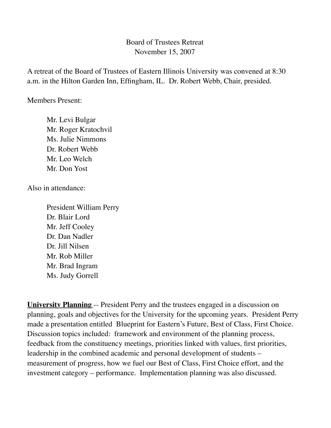## Board of Trustees Retreat November 15, 2007

A retreat of the Board of Trustees of Eastern Illinois University was convened at 8:30 a.m. in the Hilton Garden Inn, Effingham, IL. Dr. Robert Webb, Chair, presided.

Members Present:

Mr. Levi Bulgar Mr. Roger Kratochvil Ms. Julie Nimmons Dr. Robert Webb Mr. Leo Welch Mr. Don Yost

Also in attendance:

 President William Perry Dr. Blair Lord Mr. Jeff Cooley Dr. Dan Nadler Dr. Jill Nilsen Mr. Rob Miller Mr. Brad Ingram Ms. Judy Gorrell

**University Planning** -- President Perry and the trustees engaged in a discussion on planning, goals and objectives for the University for the upcoming years. President Perry made a presentation entitled Blueprint for Eastern's Future, Best of Class, First Choice. Discussion topics included: framework and environment of the planning process, feedback from the constituency meetings, priorities linked with values, first priorities, leadership in the combined academic and personal development of students – measurement of progress, how we fuel our Best of Class, First Choice effort, and the investment category – performance. Implementation planning was also discussed.